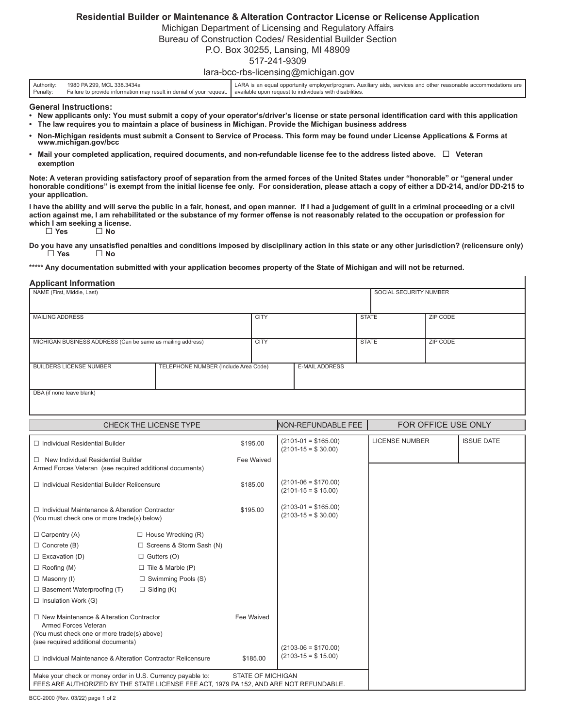## **Residential Builder or Maintenance & Alteration Contractor License or Relicense Application**

Michigan Department of Licensing and Regulatory Affairs

Bureau of Construction Codes/ Residential Builder Section

P.O. Box 30255, Lansing, MI 48909

## 517-241-9309

## lara-bcc-rbs-licensing@michigan.gov

| Authority: | 1980 PA 299, MCL 338,3434a                                                                                                      | LARA is an equal opportunity employer/program. Auxiliary aids, services and other reasonable accommodations are |
|------------|---------------------------------------------------------------------------------------------------------------------------------|-----------------------------------------------------------------------------------------------------------------|
| Penalty:   | Failure to provide information may result in denial of your request.   available upon request to individuals with disabilities. |                                                                                                                 |

**General Instructions:**

- **New applicants only: You must submit a copy of your operator's/driver's license or state personal identification card with this application • The law requires you to maintain a place of business in Michigan. Provide the Michigan business address**
- **• Non-Michigan residents must submit a Consent to Service of Process. This form may be found under License Applications & Forms at www.michigan.gov/bcc**
- **Mail your completed application, required documents, and non-refundable license fee to the address listed above. □ Veteran exemption**

**Note: A veteran providing satisfactory proof of separation from the armed forces of the United States under "honorable" or "general under honorable conditions" is exempt from the initial license fee only. For consideration, please attach a copy of either a DD-214, and/or DD-215 to your application.** 

**I have the ability and will serve the public in a fair, honest, and open manner. If I had a judgement of guilt in a criminal proceeding or a civil action against me, I am rehabilitated or the substance of my former offense is not reasonably related to the occupation or profession for which I am seeking a license.**  □ **Yes** □ **No**

**Do you have any unsatisfied penalties and conditions imposed by disciplinary action in this state or any other jurisdiction? (relicensure only)** □ **Yes** □ **No**

**\*\*\*\*\* Any documentation submitted with your application becomes property of the State of Michigan and will not be returned.**

## **Applicant Information**

| NAME (First, Middle, Last)                                 |                                      |             |                       | SOCIAL SECURITY NUMBER |  |          |
|------------------------------------------------------------|--------------------------------------|-------------|-----------------------|------------------------|--|----------|
|                                                            |                                      |             |                       |                        |  |          |
| <b>MAILING ADDRESS</b>                                     |                                      | <b>CITY</b> |                       | <b>STATE</b>           |  | ZIP CODE |
|                                                            |                                      |             |                       |                        |  |          |
| MICHIGAN BUSINESS ADDRESS (Can be same as mailing address) |                                      | <b>CITY</b> |                       | <b>STATE</b>           |  | ZIP CODE |
|                                                            |                                      |             |                       |                        |  |          |
| <b>BUILDERS LICENSE NUMBER</b>                             | TELEPHONE NUMBER (Include Area Code) |             | <b>E-MAIL ADDRESS</b> |                        |  |          |
|                                                            |                                      |             |                       |                        |  |          |
| DBA (if none leave blank)                                  |                                      |             |                       |                        |  |          |

| <b>CHECK THE LICENSE TYPE</b>                                                                                                                                                     |                            |                                                   | NON-REFUNDABLE FEE                              | FOR OFFICE USE ONLY |  |  |
|-----------------------------------------------------------------------------------------------------------------------------------------------------------------------------------|----------------------------|---------------------------------------------------|-------------------------------------------------|---------------------|--|--|
| $\Box$ Individual Residential Builder                                                                                                                                             | \$195.00                   | $(2101 - 01 = $165.00)$<br>$(2101 - 15 = $30.00)$ | <b>LICENSE NUMBER</b>                           | <b>ISSUE DATE</b>   |  |  |
| $\Box$ New Individual Residential Builder<br>Armed Forces Veteran (see required additional documents)                                                                             |                            | Fee Waived                                        |                                                 |                     |  |  |
| $\Box$ Individual Residential Builder Relicensure                                                                                                                                 |                            | \$185.00                                          | $(2101-06= $170.00)$<br>$(2101 - 15 = $ 15.00)$ |                     |  |  |
| $\Box$ Individual Maintenance & Alteration Contractor<br>(You must check one or more trade(s) below)                                                                              |                            | \$195.00                                          | $(2103-01 = $165.00)$<br>$(2103 - 15 = $30.00)$ |                     |  |  |
| $\Box$ Carpentry (A)                                                                                                                                                              | $\Box$ House Wrecking (R)  |                                                   |                                                 |                     |  |  |
| $\Box$ Concrete (B)                                                                                                                                                               | □ Screens & Storm Sash (N) |                                                   |                                                 |                     |  |  |
| $\Box$ Excavation (D)                                                                                                                                                             | $\Box$ Gutters (O)         |                                                   |                                                 |                     |  |  |
| $\Box$ Roofing (M)                                                                                                                                                                | $\Box$ Tile & Marble (P)   |                                                   |                                                 |                     |  |  |
| $\Box$ Masonry (I)                                                                                                                                                                | $\Box$ Swimming Pools (S)  |                                                   |                                                 |                     |  |  |
| $\Box$ Basement Waterproofing (T)                                                                                                                                                 | $\Box$ Siding (K)          |                                                   |                                                 |                     |  |  |
| $\Box$ Insulation Work (G)                                                                                                                                                        |                            |                                                   |                                                 |                     |  |  |
| □ New Maintenance & Alteration Contractor<br>Armed Forces Veteran                                                                                                                 |                            | Fee Waived                                        |                                                 |                     |  |  |
| (You must check one or more trade(s) above)                                                                                                                                       |                            |                                                   |                                                 |                     |  |  |
| (see required additional documents)                                                                                                                                               |                            | $(2103-06= $170.00)$                              |                                                 |                     |  |  |
| □ Individual Maintenance & Alteration Contractor Relicensure                                                                                                                      |                            | \$185.00                                          | $(2103 - 15 = $ 15.00)$                         |                     |  |  |
| Make your check or money order in U.S. Currency payable to:<br><b>STATE OF MICHIGAN</b><br>FEES ARE AUTHORIZED BY THE STATE LICENSE FEE ACT, 1979 PA 152, AND ARE NOT REFUNDABLE. |                            |                                                   |                                                 |                     |  |  |

BCC-2000 (Rev. 03/22) page 1 of 2